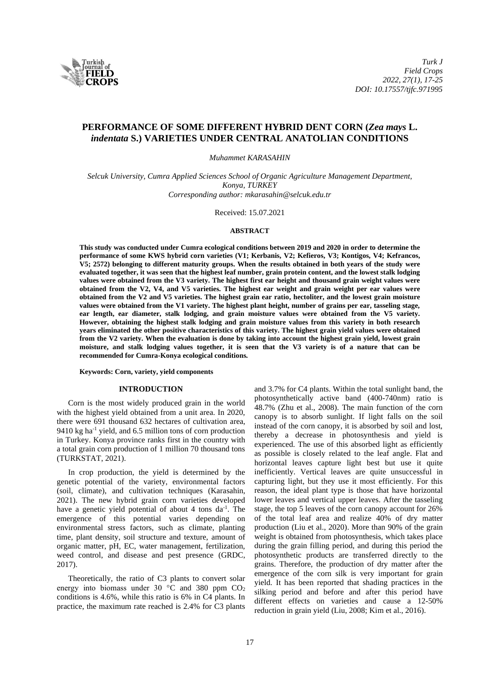

# **PERFORMANCE OF SOME DIFFERENT HYBRID DENT CORN (***Zea mays* **L.**  *indentata* **S.) VARIETIES UNDER CENTRAL ANATOLIAN CONDITIONS**

*Muhammet KARASAHIN*

*Selcuk University, Cumra Applied Sciences School of Organic Agriculture Management Department, Konya, TURKEY Corresponding author: mkarasahin@selcuk.edu.tr*

Received: 15.07.2021

#### **ABSTRACT**

**This study was conducted under Cumra ecological conditions between 2019 and 2020 in order to determine the performance of some KWS hybrid corn varieties (V1; Kerbanis, V2; Kefieros, V3; Kontigos, V4; Kefrancos, V5; 2572) belonging to different maturity groups. When the results obtained in both years of the study were evaluated together, it was seen that the highest leaf number, grain protein content, and the lowest stalk lodging values were obtained from the V3 variety. The highest first ear height and thousand grain weight values were obtained from the V2, V4, and V5 varieties. The highest ear weight and grain weight per ear values were obtained from the V2 and V5 varieties. The highest grain ear ratio, hectoliter, and the lowest grain moisture values were obtained from the V1 variety. The highest plant height, number of grains per ear, tasseling stage, ear length, ear diameter, stalk lodging, and grain moisture values were obtained from the V5 variety. However, obtaining the highest stalk lodging and grain moisture values from this variety in both research years eliminated the other positive characteristics of this variety. The highest grain yield values were obtained from the V2 variety. When the evaluation is done by taking into account the highest grain yield, lowest grain moisture, and stalk lodging values together, it is seen that the V3 variety is of a nature that can be recommended for Cumra-Konya ecological conditions.**

### **Keywords: Corn, variety, yield components**

### **INTRODUCTION**

Corn is the most widely produced grain in the world with the highest yield obtained from a unit area. In 2020, there were 691 thousand 632 hectares of cultivation area, 9410 kg ha<sup>-1</sup> yield, and 6.5 million tons of corn production in Turkey. Konya province ranks first in the country with a total grain corn production of 1 million 70 thousand tons (TURKSTAT, 2021).

In crop production, the yield is determined by the genetic potential of the variety, environmental factors (soil, climate), and cultivation techniques (Karasahin, 2021). The new hybrid grain corn varieties developed have a genetic yield potential of about 4 tons da<sup>-1</sup>. The emergence of this potential varies depending on environmental stress factors, such as climate, planting time, plant density, soil structure and texture, amount of organic matter, pH, EC, water management, fertilization, weed control, and disease and pest presence (GRDC, 2017).

Theoretically, the ratio of C3 plants to convert solar energy into biomass under 30  $\degree$ C and 380 ppm CO<sub>2</sub> conditions is 4.6%, while this ratio is 6% in C4 plants. In practice, the maximum rate reached is 2.4% for C3 plants and 3.7% for C4 plants. Within the total sunlight band, the photosynthetically active band (400-740nm) ratio is 48.7% (Zhu et al., 2008). The main function of the corn canopy is to absorb sunlight. If light falls on the soil instead of the corn canopy, it is absorbed by soil and lost, thereby a decrease in photosynthesis and yield is experienced. The use of this absorbed light as efficiently as possible is closely related to the leaf angle. Flat and horizontal leaves capture light best but use it quite inefficiently. Vertical leaves are quite unsuccessful in capturing light, but they use it most efficiently. For this reason, the ideal plant type is those that have horizontal lower leaves and vertical upper leaves. After the tasseling stage, the top 5 leaves of the corn canopy account for 26% of the total leaf area and realize 40% of dry matter production (Liu et al., 2020). More than 90% of the grain weight is obtained from photosynthesis, which takes place during the grain filling period, and during this period the photosynthetic products are transferred directly to the grains. Therefore, the production of dry matter after the emergence of the corn silk is very important for grain yield. It has been reported that shading practices in the silking period and before and after this period have different effects on varieties and cause a 12-50% reduction in grain yield (Liu, 2008; Kim et al., 2016).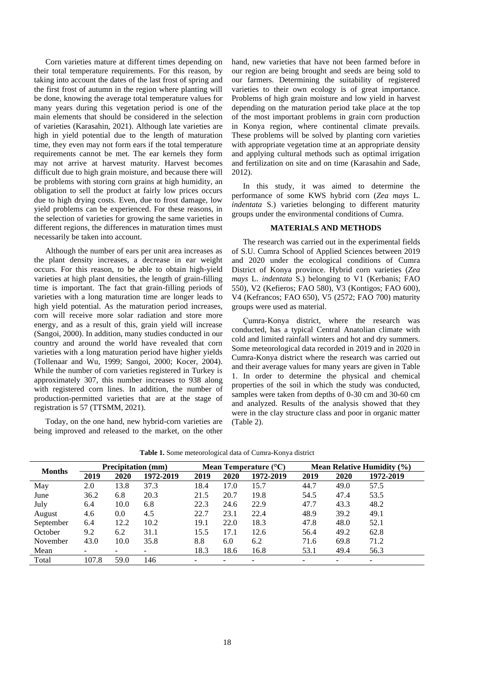Corn varieties mature at different times depending on their total temperature requirements. For this reason, by taking into account the dates of the last frost of spring and the first frost of autumn in the region where planting will be done, knowing the average total temperature values for many years during this vegetation period is one of the main elements that should be considered in the selection of varieties (Karasahin, 2021). Although late varieties are high in yield potential due to the length of maturation time, they even may not form ears if the total temperature requirements cannot be met. The ear kernels they form may not arrive at harvest maturity. Harvest becomes difficult due to high grain moisture, and because there will be problems with storing corn grains at high humidity, an obligation to sell the product at fairly low prices occurs due to high drying costs. Even, due to frost damage, low yield problems can be experienced. For these reasons, in the selection of varieties for growing the same varieties in different regions, the differences in maturation times must necessarily be taken into account.

Although the number of ears per unit area increases as the plant density increases, a decrease in ear weight occurs. For this reason, to be able to obtain high-yield varieties at high plant densities, the length of grain-filling time is important. The fact that grain-filling periods of varieties with a long maturation time are longer leads to high yield potential. As the maturation period increases, corn will receive more solar radiation and store more energy, and as a result of this, grain yield will increase (Sangoi, 2000). In addition, many studies conducted in our country and around the world have revealed that corn varieties with a long maturation period have higher yields (Tollenaar and Wu, 1999; Sangoi, 2000; Kocer, 2004). While the number of corn varieties registered in Turkey is approximately 307, this number increases to 938 along with registered corn lines. In addition, the number of production-permitted varieties that are at the stage of registration is 57 (TTSMM, 2021).

Today, on the one hand, new hybrid-corn varieties are being improved and released to the market, on the other hand, new varieties that have not been farmed before in our region are being brought and seeds are being sold to our farmers. Determining the suitability of registered varieties to their own ecology is of great importance. Problems of high grain moisture and low yield in harvest depending on the maturation period take place at the top of the most important problems in grain corn production in Konya region, where continental climate prevails. These problems will be solved by planting corn varieties with appropriate vegetation time at an appropriate density and applying cultural methods such as optimal irrigation and fertilization on site and on time (Karasahin and Sade, 2012).

In this study, it was aimed to determine the performance of some KWS hybrid corn (*Zea mays* L. *indentata* S.) varieties belonging to different maturity groups under the environmental conditions of Cumra.

# **MATERIALS AND METHODS**

The research was carried out in the experimental fields of S.U. Cumra School of Applied Sciences between 2019 and 2020 under the ecological conditions of Cumra District of Konya province. Hybrid corn varieties (*Zea mays* L. *indentata* S.) belonging to V1 (Kerbanis; FAO 550), V2 (Kefieros; FAO 580), V3 (Kontigos; FAO 600), V4 (Kefrancos; FAO 650), V5 (2572; FAO 700) maturity groups were used as material.

Çumra-Konya district, where the research was conducted, has a typical Central Anatolian climate with cold and limited rainfall winters and hot and dry summers. Some meteorological data recorded in 2019 and in 2020 in Cumra-Konya district where the research was carried out and their average values for many years are given in Table 1. In order to determine the physical and chemical properties of the soil in which the study was conducted, samples were taken from depths of 0-30 cm and 30-60 cm and analyzed. Results of the analysis showed that they were in the clay structure class and poor in organic matter (Table 2).

| <b>Months</b> | <b>Precipitation</b> (mm) |      |           | Mean Temperature $(^{\circ}C)$ |      |                          |      | <b>Mean Relative Humidity (%)</b> |                          |  |
|---------------|---------------------------|------|-----------|--------------------------------|------|--------------------------|------|-----------------------------------|--------------------------|--|
|               | 2019                      | 2020 | 1972-2019 | 2019                           | 2020 | 1972-2019                | 2019 | 2020                              | 1972-2019                |  |
| May           | 2.0                       | 13.8 | 37.3      | 18.4                           | 17.0 | 15.7                     | 44.7 | 49.0                              | 57.5                     |  |
| June          | 36.2                      | 6.8  | 20.3      | 21.5                           | 20.7 | 19.8                     | 54.5 | 47.4                              | 53.5                     |  |
| July          | 6.4                       | 10.0 | 6.8       | 22.3                           | 24.6 | 22.9                     | 47.7 | 43.3                              | 48.2                     |  |
| August        | 4.6                       | 0.0  | 4.5       | 22.7                           | 23.1 | 22.4                     | 48.9 | 39.2                              | 49.1                     |  |
| September     | 6.4                       | 12.2 | 10.2      | 19.1                           | 22.0 | 18.3                     | 47.8 | 48.0                              | 52.1                     |  |
| October       | 9.2                       | 6.2  | 31.1      | 15.5                           | 17.1 | 12.6                     | 56.4 | 49.2                              | 62.8                     |  |
| November      | 43.0                      | 10.0 | 35.8      | 8.8                            | 6.0  | 6.2                      | 71.6 | 69.8                              | 71.2                     |  |
| Mean          | $\overline{\phantom{a}}$  | -    |           | 18.3                           | 18.6 | 16.8                     | 53.1 | 49.4                              | 56.3                     |  |
| Total         | 107.8                     | 59.0 | 146       | -                              |      | $\overline{\phantom{0}}$ |      |                                   | $\overline{\phantom{a}}$ |  |

**Table 1.** Some meteorological data of Cumra-Konya district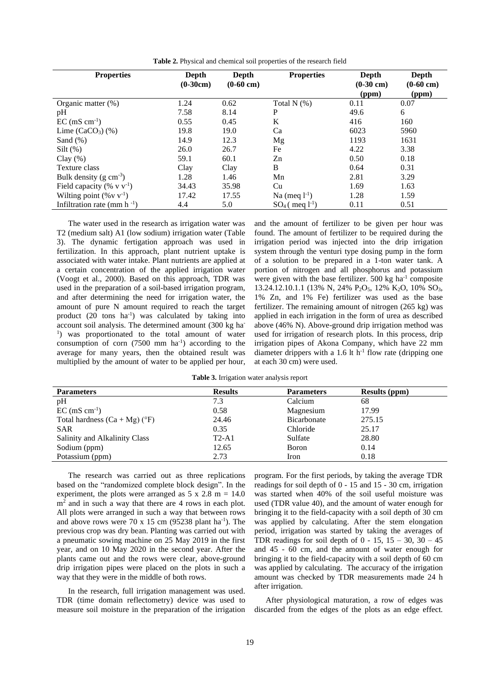| <b>Properties</b>                  | Depth<br>$(0-30cm)$ | Depth<br>$(0-60 \text{ cm})$ | <b>Properties</b>      | Depth<br>$(0-30$ cm)<br>(ppm) | Depth<br>$(0-60 \text{ cm})$<br>(ppm) |
|------------------------------------|---------------------|------------------------------|------------------------|-------------------------------|---------------------------------------|
| Organic matter $(\%)$              | 1.24                | 0.62                         | Total $N$ $(\%)$       | 0.11                          | 0.07                                  |
| pH                                 | 7.58                | 8.14                         | P                      | 49.6                          | 6                                     |
| $EC$ (mS cm <sup>-1</sup> )        | 0.55                | 0.45                         | K                      | 416                           | 160                                   |
| Lime $(CaCO3)$ $(\%)$              | 19.8                | 19.0                         | Ca                     | 6023                          | 5960                                  |
| Sand $(\%)$                        | 14.9                | 12.3                         | Mg                     | 1193                          | 1631                                  |
| Silt $(\%)$                        | 26.0                | 26.7                         | Fe                     | 4.22                          | 3.38                                  |
| Clay $(\%)$                        | 59.1                | 60.1                         | Zn                     | 0.50                          | 0.18                                  |
| Texture class                      | Clay                | Clay                         | B                      | 0.64                          | 0.31                                  |
| Bulk density $(g \text{ cm}^{-3})$ | 1.28                | 1.46                         | Mn                     | 2.81                          | 3.29                                  |
| Field capacity (% $v v^{-1}$ )     | 34.43               | 35.98                        | Cu                     | 1.69                          | 1.63                                  |
| Wilting point $(\% v v^{-1})$      | 17.42               | 17.55                        | Na (meq $l^{-1}$ )     | 1.28                          | 1.59                                  |
| Infiltration rate (mm $h^{-1}$ )   | 4.4                 | 5.0                          | $SO_4$ (meq $1^{-1}$ ) | 0.11                          | 0.51                                  |

**Table 2.** Physical and chemical soil properties of the research field

The water used in the research as irrigation water was T2 (medium salt) A1 (low sodium) irrigation water (Table 3). The dynamic fertigation approach was used in fertilization. In this approach, plant nutrient uptake is associated with water intake. Plant nutrients are applied at a certain concentration of the applied irrigation water (Voogt et al., 2000). Based on this approach, TDR was used in the preparation of a soil-based irrigation program, and after determining the need for irrigation water, the amount of pure N amount required to reach the target product (20 tons ha<sup>-1</sup>) was calculated by taking into account soil analysis. The determined amount (300 kg ha-<sup>1</sup>) was proportionated to the total amount of water consumption of corn  $(7500 \text{ mm/ha}^{-1})$  according to the average for many years, then the obtained result was multiplied by the amount of water to be applied per hour,

and the amount of fertilizer to be given per hour was found. The amount of fertilizer to be required during the irrigation period was injected into the drip irrigation system through the venturi type dosing pump in the form of a solution to be prepared in a 1-ton water tank. A portion of nitrogen and all phosphorus and potassium were given with the base fertilizer. 500 kg ha<sup>-1</sup> composite 13.24.12.10.1.1 (13% N, 24% P<sub>2</sub>O<sub>5</sub>, 12% K<sub>2</sub>O, 10% SO<sub>3</sub>, 1% Zn, and 1% Fe) fertilizer was used as the base fertilizer. The remaining amount of nitrogen (265 kg) was applied in each irrigation in the form of urea as described above (46% N). Above-ground drip irrigation method was used for irrigation of research plots. In this process, drip irrigation pipes of Akona Company, which have 22 mm diameter drippers with a 1.6 lt  $h^{-1}$  flow rate (dripping one at each 30 cm) were used.

**Table 3.** Irrigation water analysis report

| <b>Parameters</b>                     | <b>Results</b> | <b>Parameters</b> | <b>Results (ppm)</b> |
|---------------------------------------|----------------|-------------------|----------------------|
| pH                                    | 7.3            | Calcium           | 68                   |
| $EC$ (mS cm <sup>-1</sup> )           | 0.58           | Magnesium         | 17.99                |
| Total hardness $(Ca + Mg)(\degree F)$ | 24.46          | Bicarbonate       | 275.15               |
| <b>SAR</b>                            | 0.35           | Chloride          | 25.17                |
| Salinity and Alkalinity Class         | $T2-A1$        | Sulfate           | 28.80                |
| Sodium (ppm)                          | 12.65          | Boron             | 0.14                 |
| Potassium (ppm)                       | 2.73           | Iron              | 0.18                 |

The research was carried out as three replications based on the "randomized complete block design". In the experiment, the plots were arranged as  $5 \times 2.8$  m = 14.0 m<sup>2</sup> and in such a way that there are 4 rows in each plot. All plots were arranged in such a way that between rows and above rows were  $70 \times 15$  cm (95238 plant ha<sup>-1</sup>). The previous crop was dry bean. Planting was carried out with a pneumatic sowing machine on 25 May 2019 in the first year, and on 10 May 2020 in the second year. After the plants came out and the rows were clear, above-ground drip irrigation pipes were placed on the plots in such a way that they were in the middle of both rows.

In the research, full irrigation management was used. TDR (time domain reflectometry) device was used to measure soil moisture in the preparation of the irrigation

program. For the first periods, by taking the average TDR readings for soil depth of 0 - 15 and 15 - 30 cm, irrigation was started when 40% of the soil useful moisture was used (TDR value 40), and the amount of water enough for bringing it to the field-capacity with a soil depth of 30 cm was applied by calculating. After the stem elongation period, irrigation was started by taking the averages of TDR readings for soil depth of  $0 - 15$ ,  $15 - 30$ ,  $30 - 45$ and 45 - 60 cm, and the amount of water enough for bringing it to the field-capacity with a soil depth of 60 cm was applied by calculating. The accuracy of the irrigation amount was checked by TDR measurements made 24 h after irrigation.

After physiological maturation, a row of edges was discarded from the edges of the plots as an edge effect.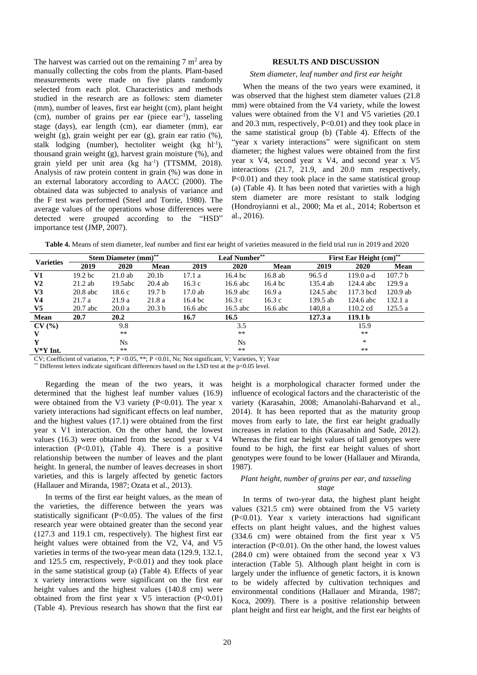The harvest was carried out on the remaining  $7 \text{ m}^2$  area by manually collecting the cobs from the plants. Plant-based measurements were made on five plants randomly selected from each plot. Characteristics and methods studied in the research are as follows: stem diameter (mm), number of leaves, first ear height (cm), plant height (cm), number of grains per ear (piece ear-1 ), tasseling stage (days), ear length (cm), ear diameter (mm), ear weight (g), grain weight per ear (g), grain ear ratio (%), stalk lodging (number), hectoliter weight  $(kg \ hl^{-1})$ , thousand grain weight (g), harvest grain moisture  $(\% )$ , and grain yield per unit area  $(kg \text{ ha}^{-1})$  (TTSMM, 2018). Analysis of raw protein content in grain (%) was done in an external laboratory according to AACC (2000). The obtained data was subjected to analysis of variance and the F test was performed (Steel and Torrie, 1980). The average values of the operations whose differences were detected were grouped according to the "HSD" importance test (JMP, 2007).

# **RESULTS AND DISCUSSION**

## *Stem diameter, leaf number and first ear height*

When the means of the two years were examined, it was observed that the highest stem diameter values (21.8 mm) were obtained from the V4 variety, while the lowest values were obtained from the V1 and V5 varieties (20.1 and 20.3 mm, respectively, P<0.01) and they took place in the same statistical group (b) (Table 4). Effects of the "year x variety interactions" were significant on stem diameter; the highest values were obtained from the first year x V4, second year x V4, and second year x V5 interactions (21.7, 21.9, and 20.0 mm respectively, P<0.01) and they took place in the same statistical group (a) (Table 4). It has been noted that varieties with a high stem diameter are more resistant to stalk lodging (Hondroyianni et al., 2000; Ma et al., 2014; Robertson et al., 2016).

| Table 4. Means of stem diameter, leaf number and first ear height of varieties measured in the field trial run in 2019 and 2020 |  |
|---------------------------------------------------------------------------------------------------------------------------------|--|
|---------------------------------------------------------------------------------------------------------------------------------|--|

| <b>Varieties</b> |                    | <b>Stem Diameter (mm)</b> ** |                   |                    | <b>Leaf Number**</b> |                    |           | First Ear Height (cm) <sup>**</sup> |                    |  |
|------------------|--------------------|------------------------------|-------------------|--------------------|----------------------|--------------------|-----------|-------------------------------------|--------------------|--|
|                  | 2019               | 2020                         | Mean              | 2019               | 2020                 | Mean               | 2019      | 2020                                | Mean               |  |
| V1               | 19.2 <sub>bc</sub> | 21.0ab                       | 20.1b             | 17.1a              | 16.4 bc              | $16.8$ ab          | 96.5 d    | 119.0 a-d                           | 107.7 <sub>b</sub> |  |
| V <sub>2</sub>   | $21.2$ ab          | 19.5abc                      | $20.4$ ab         | 16.3c              | 16.6 abc             | 16.4 <sub>bc</sub> | 135.4 ab  | $124.4$ abc                         | 129.9a             |  |
| V3               | $20.8$ abc         | 18.6c                        | 19.7 <sub>b</sub> | $17.0$ ab          | $16.9$ abc           | 16.9a              | 124.5 abc | 117.3 bcd                           | $120.9$ ab         |  |
| V <sub>4</sub>   | 21.7a              | 21.9a                        | 21.8a             | 16.4 <sub>bc</sub> | 16.3c                | 16.3c              | 139.5 ab  | 124.6 abc                           | 132.1a             |  |
| $V_5$            | $20.7$ abc         | 20.0a                        | 20.3 <sub>b</sub> | 16.6 abc           | $16.5$ abc           | $16.6$ abc         | 140.8 a   | 110.2 cd                            | 125.5a             |  |
| Mean             | 20.7               | 20.2                         |                   | 16.7               | 16.5                 |                    | 127.3a    | 119.1 <sub>b</sub>                  |                    |  |
| CV(%)            |                    | 9.8                          |                   |                    | 3.5                  |                    |           | 15.9                                |                    |  |
| V                |                    | $***$                        |                   |                    | **                   |                    |           | $**$                                |                    |  |
| Y                |                    | Ns                           |                   |                    | <b>Ns</b>            |                    |           | *                                   |                    |  |
| $V^*Y$ Int.      |                    | $***$                        |                   |                    | $***$                |                    |           | $**$                                |                    |  |

CV; Coefficient of variation, \*; P <0.05, \*\*; P <0.01, Ns; Not significant, V; Varieties, Y; Year

 $*$  Different letters indicate significant differences based on the LSD test at the p<0.05 level.

Regarding the mean of the two years, it was determined that the highest leaf number values (16.9) were obtained from the V3 variety  $(P<0.01)$ . The year x variety interactions had significant effects on leaf number, and the highest values (17.1) were obtained from the first year x V1 interaction. On the other hand, the lowest values (16.3) were obtained from the second year x V4 interaction (P<0.01), (Table 4). There is a positive relationship between the number of leaves and the plant height. In general, the number of leaves decreases in short varieties, and this is largely affected by genetic factors (Hallauer and Miranda, 1987; Ozata et al., 2013).

In terms of the first ear height values, as the mean of the varieties, the difference between the years was statistically significant  $(P<0.05)$ . The values of the first research year were obtained greater than the second year (127.3 and 119.1 cm, respectively). The highest first ear height values were obtained from the V2, V4, and V5 varieties in terms of the two-year mean data (129.9, 132.1, and 125.5 cm, respectively, P<0.01) and they took place in the same statistical group (a) (Table 4). Effects of year x variety interactions were significant on the first ear height values and the highest values (140.8 cm) were obtained from the first year x V5 interaction  $(P<0.01)$ (Table 4). Previous research has shown that the first ear height is a morphological character formed under the influence of ecological factors and the characteristic of the variety (Karasahin, 2008; Amanolahi-Baharvand et al., 2014). It has been reported that as the maturity group moves from early to late, the first ear height gradually increases in relation to this (Karasahin and Sade, 2012). Whereas the first ear height values of tall genotypes were found to be high, the first ear height values of short genotypes were found to be lower (Hallauer and Miranda, 1987).

## *Plant height, number of grains per ear, and tasseling stage*

In terms of two-year data, the highest plant height values (321.5 cm) were obtained from the V5 variety (P<0.01). Year x variety interactions had significant effects on plant height values, and the highest values (334.6 cm) were obtained from the first year x V5 interaction  $(P<0.01)$ . On the other hand, the lowest values (284.0 cm) were obtained from the second year x V3 interaction (Table 5). Although plant height in corn is largely under the influence of genetic factors, it is known to be widely affected by cultivation techniques and environmental conditions (Hallauer and Miranda, 1987; Koca, 2009). There is a positive relationship between plant height and first ear height, and the first ear heights of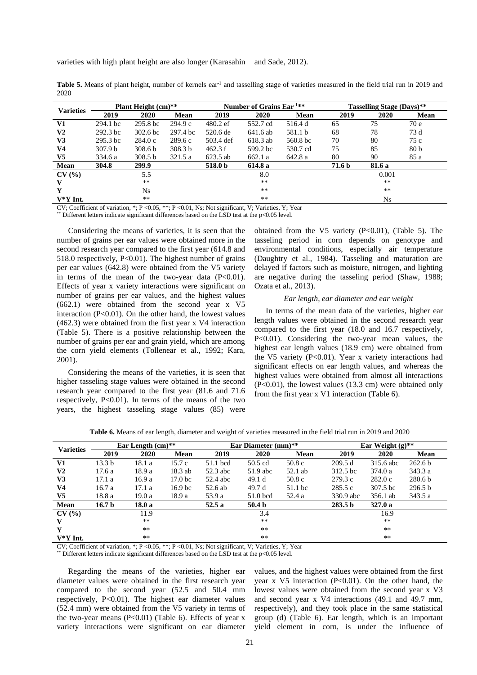| Table 5. Means of plant height, number of kernels ear <sup>1</sup> and tasselling stage of varieties measured in the field trial run in 2019 and |  |
|--------------------------------------------------------------------------------------------------------------------------------------------------|--|
| 2020                                                                                                                                             |  |

| <b>Varieties</b> | <b>Plant Height (cm)**</b> |                     |                    |            | Number of Grains Ear-1** |          | <b>Tasselling Stage (Days)**</b> |             |                 |
|------------------|----------------------------|---------------------|--------------------|------------|--------------------------|----------|----------------------------------|-------------|-----------------|
|                  | 2019                       | 2020                | Mean               | 2019       | 2020                     | Mean     | 2019                             | 2020        | Mean            |
| V1               | 294.1 bc                   | 295.8 <sub>bc</sub> | 294.9c             | $480.2$ ef | 552.7 cd                 | 516.4 d  | 65                               | 75          | 70 e            |
| V <sub>2</sub>   | $292.3$ bc                 | 302.6 <sub>bc</sub> | 297.4 bc           | 520.6 de   | 641.6 ab                 | 581.1 b  | 68                               | 78          | 73 d            |
| V3               | $295.3$ bc                 | 284.0c              | 289.6c             | 503.4 def  | 618.3 ab                 | 560.8 bc | 70                               | 80          | 75 c            |
| V <sub>4</sub>   | 307.9 b                    | 308.6 <sub>b</sub>  | 308.3 <sub>b</sub> | 462.3 f    | 599.2 bc                 | 530.7 cd | 75                               | 85          | 80 <sub>b</sub> |
| V <sub>5</sub>   | 334.6 a                    | 308.5 <sub>b</sub>  | 321.5a             | 623.5 ab   | 662.1a                   | 642.8 a  | 80                               | 90          | 85 a            |
| Mean             | 304.8                      | 299.9               |                    | 518.0 b    | 614.8 a                  |          | 71.6 b                           | 81.6 a      |                 |
| CV(%             |                            | 5.5                 |                    |            | 8.0                      |          |                                  | 0.001       |                 |
| V                |                            | $**$                |                    |            | $***$                    |          |                                  | $***$       |                 |
| Y                |                            | Ns                  |                    | $***$      |                          |          | $***$                            |             |                 |
| $V^*Y$ Int.      |                            | $**$                |                    |            | $***$                    |          |                                  | $N_{\rm S}$ |                 |

CV; Coefficient of variation, \*; P <0.05, \*\*; P <0.01, Ns; Not significant, V; Varieties, Y; Year

Different letters indicate significant differences based on the LSD test at the p<0.05 level.

Considering the means of varieties, it is seen that the number of grains per ear values were obtained more in the second research year compared to the first year (614.8 and 518.0 respectively, P<0.01). The highest number of grains per ear values (642.8) were obtained from the V5 variety in terms of the mean of the two-year data  $(P<0.01)$ . Effects of year x variety interactions were significant on number of grains per ear values, and the highest values (662.1) were obtained from the second year x V5 interaction (P<0.01). On the other hand, the lowest values (462.3) were obtained from the first year x V4 interaction (Table 5). There is a positive relationship between the number of grains per ear and grain yield, which are among the corn yield elements (Tollenear et al., 1992; Kara, 2001).

Considering the means of the varieties, it is seen that higher tasseling stage values were obtained in the second research year compared to the first year (81.6 and 71.6 respectively,  $P<0.01$ ). In terms of the means of the two years, the highest tasseling stage values (85) were obtained from the V5 variety  $(P<0.01)$ , (Table 5). The tasseling period in corn depends on genotype and environmental conditions, especially air temperature (Daughtry et al., 1984). Tasseling and maturation are delayed if factors such as moisture, nitrogen, and lighting are negative during the tasseling period (Shaw, 1988; Ozata et al., 2013).

#### *Ear length, ear diameter and ear weight*

In terms of the mean data of the varieties, higher ear length values were obtained in the second research year compared to the first year (18.0 and 16.7 respectively, P<0.01). Considering the two-year mean values, the highest ear length values (18.9 cm) were obtained from the V5 variety (P<0.01). Year x variety interactions had significant effects on ear length values, and whereas the highest values were obtained from almost all interactions  $(P<0.01)$ , the lowest values (13.3 cm) were obtained only from the first year x V1 interaction (Table 6).

| <b>Varieties</b> | Ear Length $(cm)**$ |        |                    |          | Ear Diameter (mm)** |           |                    | Ear Weight $(g)$ ** |                    |  |
|------------------|---------------------|--------|--------------------|----------|---------------------|-----------|--------------------|---------------------|--------------------|--|
|                  | 2019                | 2020   | <b>Mean</b>        | 2019     | 2020                | Mean      | 2019               | 2020                | Mean               |  |
| V1               | 13.3 <sub>b</sub>   | 18.1 a | 15.7c              | 51.1 bcd | 50.5 cd             | 50.8c     | 209.5d             | 315.6 abc           | 262.6 <sub>b</sub> |  |
| V2               | 17.6 a              | 18.9 a | $18.3$ ab          | 52.3 abc | 51.9 abc            | $52.1$ ab | 312.5 bc           | 374.0a              | 343.3 a            |  |
| V3               | 17.1 a              | 16.9 a | 17.0 <sub>bc</sub> | 52.4 abc | 49.1 d              | 50.8c     | 279.3c             | 282.0c              | 280.6 <sub>b</sub> |  |
| V4               | 16.7a               | 17.1 a | 16.9 <sub>bc</sub> | 52.6 ab  | 49.7 d              | 51.1 bc   | 285.5 c            | 307.5 bc            | 296.5 <sub>b</sub> |  |
| V5               | 18.8 a              | 19.0 a | 18.9 a             | 53.9 a   | 51.0 bcd            | 52.4 a    | 330.9 abc          | 356.1 ab            | 343.5 a            |  |
| Mean             | 16.7 <sub>b</sub>   | 18.0 a |                    | 52.5 a   | 50.4 <sub>b</sub>   |           | 283.5 <sub>b</sub> | 327.0a              |                    |  |
| CV(%             |                     | 11.9   |                    |          | 3.4                 |           |                    | 16.9                |                    |  |
| v                |                     | $**$   |                    |          | **                  |           |                    | $**$                |                    |  |
| Y                |                     | $**$   |                    |          | $***$               |           |                    | $**$                |                    |  |
| $V^*Y$ Int.      |                     | $**$   |                    |          | **                  |           |                    | **                  |                    |  |

**Table 6.** Means of ear length, diameter and weight of varieties measured in the field trial run in 2019 and 2020

CV; Coefficient of variation, \*; P <0.05, \*\*; P <0.01, Ns; Not significant, V; Varieties, Y; Year

Different letters indicate significant differences based on the LSD test at the  $p<0.05$  level.

Regarding the means of the varieties, higher ear diameter values were obtained in the first research year compared to the second year (52.5 and 50.4 mm respectively, P<0.01). The highest ear diameter values (52.4 mm) were obtained from the V5 variety in terms of the two-year means  $(P<0.01)$  (Table 6). Effects of year x variety interactions were significant on ear diameter values, and the highest values were obtained from the first year x V5 interaction (P<0.01). On the other hand, the lowest values were obtained from the second year x V3 and second year x V4 interactions (49.1 and 49.7 mm, respectively), and they took place in the same statistical group (d) (Table 6). Ear length, which is an important yield element in corn, is under the influence of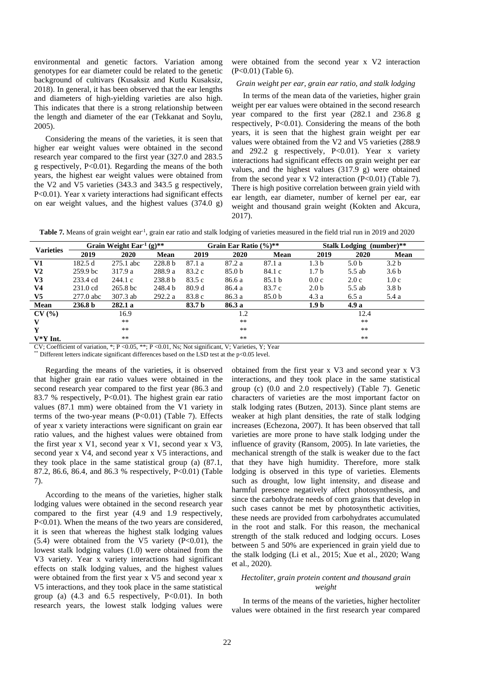environmental and genetic factors. Variation among genotypes for ear diameter could be related to the genetic background of cultivars (Kusaksiz and Kutlu Kusaksiz, 2018). In general, it has been observed that the ear lengths and diameters of high-yielding varieties are also high. This indicates that there is a strong relationship between the length and diameter of the ear (Tekkanat and Soylu, 2005).

Considering the means of the varieties, it is seen that higher ear weight values were obtained in the second research year compared to the first year (327.0 and 283.5 g respectively, P<0.01). Regarding the means of the both years, the highest ear weight values were obtained from the V2 and V5 varieties (343.3 and 343.5 g respectively, P<0.01). Year x variety interactions had significant effects on ear weight values, and the highest values (374.0 g) were obtained from the second year x V2 interaction (P<0.01) (Table 6).

# *Grain weight per ear, grain ear ratio, and stalk lodging*

In terms of the mean data of the varieties, higher grain weight per ear values were obtained in the second research year compared to the first year (282.1 and 236.8 g respectively, P<0.01). Considering the means of the both years, it is seen that the highest grain weight per ear values were obtained from the V2 and V5 varieties (288.9 and 292.2 g respectively, P<0.01). Year x variety interactions had significant effects on grain weight per ear values, and the highest values (317.9 g) were obtained from the second year x V2 interaction (P<0.01) (Table 7). There is high positive correlation between grain yield with ear length, ear diameter, number of kernel per ear, ear weight and thousand grain weight (Kokten and Akcura, 2017).

Table 7. Means of grain weight ear<sup>1</sup>, grain ear ratio and stalk lodging of varieties measured in the field trial run in 2019 and 2020

| <b>Varieties</b> | Grain Weight $\text{Ear}^{1}(g)$ ** |                       |                    | Grain Ear Ratio $(\%)^{**}$ |                   |                   | <b>Stalk Lodging (number)**</b> |                  |                  |
|------------------|-------------------------------------|-----------------------|--------------------|-----------------------------|-------------------|-------------------|---------------------------------|------------------|------------------|
|                  | 2019                                | 2020                  | Mean               | 2019                        | 2020              | Mean              | 2019                            | 2020             | Mean             |
| V1               | 182.5d                              | 275.1 abc             | 228.8 <sub>b</sub> | 87.1 a                      | 87.2 a            | 87.1 a            | 1.3 <sub>b</sub>                | 5.0 <sub>b</sub> | 3.2 <sub>b</sub> |
| V <sub>2</sub>   | 259.9 <sub>bc</sub>                 | 317.9 a               | 288.9 a            | 83.2 c                      | 85.0 <sub>b</sub> | 84.1 c            | 1.7 <sub>b</sub>                | 5.5 ab           | 3.6 <sub>b</sub> |
| V <sub>3</sub>   | 233.4 cd                            | 244.1c                | 238.8 <sub>b</sub> | 83.5 c                      | 86.6 a            | 85.1 <sub>b</sub> | 0.0c                            | 2.0c             | 1.0c             |
| V <sub>4</sub>   | 231.0 cd                            | $265.8 \,\mathrm{bc}$ | 248.4 b            | 80.9 d                      | 86.4 a            | 83.7 c            | 2.0 <sub>b</sub>                | 5.5 ab           | 3.8 <sub>b</sub> |
| V <sub>5</sub>   | 277.0 abc                           | 307.3 ab              | 292.2 a            | 83.8 c                      | 86.3 a            | 85.0 b            | 4.3a                            | 6.5a             | 5.4 a            |
| Mean             | 236.8 b                             | 282.1a                |                    | 83.7 b                      | 86.3 a            |                   | 1.9 <sub>b</sub>                | 4.9 a            |                  |
| CV(%)            |                                     | 16.9                  |                    |                             | 1.2               |                   |                                 | 12.4             |                  |
| V                |                                     | $**$                  |                    |                             | $**$              |                   |                                 | $**$             |                  |
| Y                |                                     | $***$                 |                    |                             | $**$              |                   |                                 | $***$            |                  |
| $V^*Y$ Int.      |                                     | $**$                  |                    |                             | **                |                   |                                 | $***$            |                  |

CV; Coefficient of variation, \*; P <0.05, \*\*; P <0.01, Ns; Not significant, V; Varieties, Y; Year

\*\* Different letters indicate significant differences based on the LSD test at the p<0.05 level.

Regarding the means of the varieties, it is observed that higher grain ear ratio values were obtained in the second research year compared to the first year (86.3 and 83.7 % respectively, P<0.01). The highest grain ear ratio values (87.1 mm) were obtained from the V1 variety in terms of the two-year means  $(P<0.01)$  (Table 7). Effects of year x variety interactions were significant on grain ear ratio values, and the highest values were obtained from the first year x V1, second year x V1, second year x V3, second year x V4, and second year x V5 interactions, and they took place in the same statistical group (a) (87.1, 87.2, 86.6, 86.4, and 86.3 % respectively, P<0.01) (Table 7).

According to the means of the varieties, higher stalk lodging values were obtained in the second research year compared to the first year (4.9 and 1.9 respectively, P<0.01). When the means of the two years are considered, it is seen that whereas the highest stalk lodging values  $(5.4)$  were obtained from the V5 variety  $(P<0.01)$ , the lowest stalk lodging values (1.0) were obtained from the V3 variety. Year x variety interactions had significant effects on stalk lodging values, and the highest values were obtained from the first year x V5 and second year x V5 interactions, and they took place in the same statistical group (a)  $(4.3 \text{ and } 6.5 \text{ respectively, } P<0.01)$ . In both research years, the lowest stalk lodging values were obtained from the first year x V3 and second year x V3 interactions, and they took place in the same statistical group (c) (0.0 and 2.0 respectively) (Table 7). Genetic characters of varieties are the most important factor on stalk lodging rates (Butzen, 2013). Since plant stems are weaker at high plant densities, the rate of stalk lodging increases (Echezona, 2007). It has been observed that tall varieties are more prone to have stalk lodging under the influence of gravity (Ransom, 2005). In late varieties, the mechanical strength of the stalk is weaker due to the fact that they have high humidity. Therefore, more stalk lodging is observed in this type of varieties. Elements such as drought, low light intensity, and disease and harmful presence negatively affect photosynthesis, and since the carbohydrate needs of corn grains that develop in such cases cannot be met by photosynthetic activities, these needs are provided from carbohydrates accumulated in the root and stalk. For this reason, the mechanical strength of the stalk reduced and lodging occurs. Loses between 5 and 50% are experienced in grain yield due to the stalk lodging (Li et al., 2015; Xue et al., 2020; Wang et al., 2020).

# *Hectoliter, grain protein content and thousand grain weight*

In terms of the means of the varieties, higher hectoliter values were obtained in the first research year compared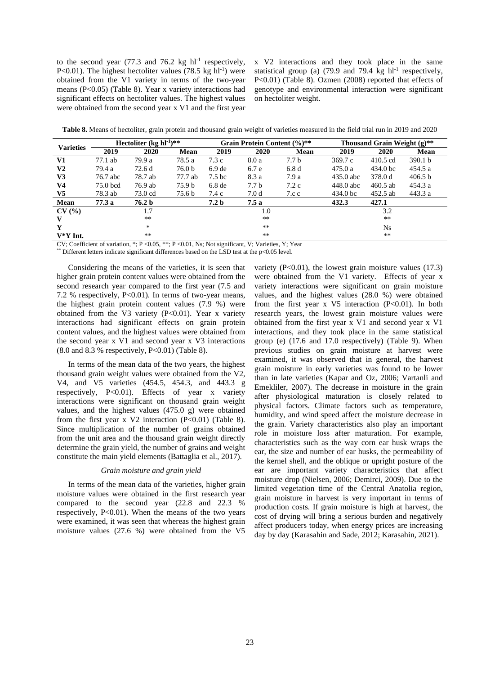to the second year  $(77.3 \text{ and } 76.2 \text{ kg } \text{hl}^{-1}$  respectively, P<0.01). The highest hectoliter values  $(78.5 \text{ kg} \text{ hl}^{-1})$  were obtained from the V1 variety in terms of the two-year means (P<0.05) (Table 8). Year x variety interactions had significant effects on hectoliter values. The highest values were obtained from the second year x V1 and the first year

x V2 interactions and they took place in the same statistical group (a)  $(79.9 \text{ and } 79.4 \text{ kg } \text{hl}^{-1}$  respectively, P<0.01) (Table 8). Ozmen (2008) reported that effects of genotype and environmental interaction were significant on hectoliter weight.

**Table 8.** Means of hectoliter, grain protein and thousand grain weight of varieties measured in the field trial run in 2019 and 2020

| <b>Varieties</b> | Hectoliter $(kg hl^{-1})$ ** |         |                   |                   | Grain Protein Content (%)** |       |                     | Thousand Grain Weight $(g)$ ** |                    |  |
|------------------|------------------------------|---------|-------------------|-------------------|-----------------------------|-------|---------------------|--------------------------------|--------------------|--|
|                  | 2019                         | 2020    | <b>Mean</b>       | 2019              | 2020                        | Mean  | 2019                | 2020                           | Mean               |  |
| V1               | 77.1 ab                      | 79.9 a  | 78.5 a            | 7.3c              | 8.0 a                       | 7.7 b | 369.7c              | $410.5$ cd                     | 390.1 <sub>b</sub> |  |
| V2               | 79.4 a                       | 72.6d   | 76.0 <sub>b</sub> | 6.9 <sub>de</sub> | 6.7 e                       | 6.8d  | 475.0a              | 434.0 <sub>bc</sub>            | 454.5a             |  |
| V3               | 76.7 abc                     | 78.7 ab | 77.7 ab           | 7.5 bc            | 8.3 a                       | 7.9 a | $435.0$ abc         | 378.0 d                        | 406.5 b            |  |
| V <sub>4</sub>   | 75.0 bcd                     | 76.9 ab | 75.9 b            | 6.8 <sub>de</sub> | 7.7 <sub>b</sub>            | 7.2c  | 448.0 abc           | $460.5$ ab                     | 454.3a             |  |
| V5               | 78.3 ab                      | 73.0 cd | 75.6 b            | 7.4 c             | 7.0d                        | 7.c.c | 434.0 <sub>bc</sub> | 452.5 ab                       | 443.3 a            |  |
| Mean             | 77.3 a                       | 76.2 b  |                   | 7.2 <sub>b</sub>  | 7.5a                        |       | 432.3               | 427.1                          |                    |  |
| CV(%)            |                              | 1.7     |                   |                   | 1.0                         |       |                     | 3.2                            |                    |  |
| v                |                              | **      |                   | $**$              |                             |       | $***$               |                                |                    |  |
| Y                |                              | *       |                   |                   | $***$                       |       |                     | Ns.                            |                    |  |
| $V^*Y$ Int.      |                              | $***$   |                   |                   | $***$                       |       |                     | $***$                          |                    |  |

CV; Coefficient of variation,  $*$ ; P < 0.05,  $*$ , P < 0.01, Ns; Not significant, V; Varieties, Y; Year

Different letters indicate significant differences based on the LSD test at the  $p<0.05$  level.

Considering the means of the varieties, it is seen that higher grain protein content values were obtained from the second research year compared to the first year (7.5 and 7.2 % respectively,  $P<0.01$ ). In terms of two-year means, the highest grain protein content values (7.9 %) were obtained from the V3 variety (P<0.01). Year x variety interactions had significant effects on grain protein content values, and the highest values were obtained from the second year x V1 and second year x V3 interactions  $(8.0 \text{ and } 8.3 \text{ % respectively, } P<0.01)$  (Table 8).

In terms of the mean data of the two years, the highest thousand grain weight values were obtained from the V2, V4, and V5 varieties (454.5, 454.3, and 443.3 g respectively, P<0.01). Effects of year x variety interactions were significant on thousand grain weight values, and the highest values (475.0 g) were obtained from the first year  $x \text{ V2}$  interaction (P<0.01) (Table 8). Since multiplication of the number of grains obtained from the unit area and the thousand grain weight directly determine the grain yield, the number of grains and weight constitute the main yield elements (Battaglia et al., 2017).

### *Grain moisture and grain yield*

In terms of the mean data of the varieties, higher grain moisture values were obtained in the first research year compared to the second year (22.8 and 22.3 % respectively, P<0.01). When the means of the two years were examined, it was seen that whereas the highest grain moisture values (27.6 %) were obtained from the V5

variety  $(P<0.01)$ , the lowest grain moisture values  $(17.3)$ were obtained from the V1 variety. Effects of year x variety interactions were significant on grain moisture values, and the highest values (28.0 %) were obtained from the first year  $x \text{ V5}$  interaction (P<0.01). In both research years, the lowest grain moisture values were obtained from the first year x V1 and second year x V1 interactions, and they took place in the same statistical group (e) (17.6 and 17.0 respectively) (Table 9). When previous studies on grain moisture at harvest were examined, it was observed that in general, the harvest grain moisture in early varieties was found to be lower than in late varieties (Kapar and Oz, 2006; Vartanli and Emekliler, 2007). The decrease in moisture in the grain after physiological maturation is closely related to physical factors. Climate factors such as temperature, humidity, and wind speed affect the moisture decrease in the grain. Variety characteristics also play an important role in moisture loss after maturation. For example, characteristics such as the way corn ear husk wraps the ear, the size and number of ear husks, the permeability of the kernel shell, and the oblique or upright posture of the ear are important variety characteristics that affect moisture drop (Nielsen, 2006; Demirci, 2009). Due to the limited vegetation time of the Central Anatolia region, grain moisture in harvest is very important in terms of production costs. If grain moisture is high at harvest, the cost of drying will bring a serious burden and negatively affect producers today, when energy prices are increasing day by day (Karasahin and Sade, 2012; Karasahin, 2021).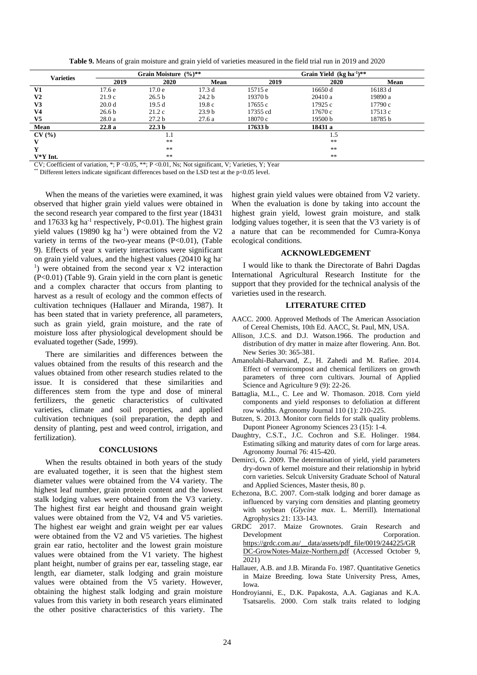**Table 9.** Means of grain moisture and grain yield of varieties measured in the field trial run in 2019 and 2020

| <b>Varieties</b> |                   | Grain Moisture (%)** |                   | Grain Yield $(kg ha^{-1})$ ** |            |         |  |
|------------------|-------------------|----------------------|-------------------|-------------------------------|------------|---------|--|
|                  | 2019              | 2020                 | Mean              | 2019                          | 2020       | Mean    |  |
| V1               | 17.6 <sub>e</sub> | 17.0 <sub>e</sub>    | 17.3d             | 15715 e                       | 16650 d    | 16183 d |  |
| V <sub>2</sub>   | 21.9c             | 26.5 <sub>b</sub>    | 24.2 <sub>b</sub> | 19370 b                       | 20410a     | 19890 a |  |
| V3               | 20.0 <sub>d</sub> | 19.5d                | 19.8c             | 17655 c                       | 17925 c    | 17790 c |  |
| V <sub>4</sub>   | 26.6 <sub>b</sub> | 21.2c                | 23.9 <sub>b</sub> | 17355 cd                      | 17670 c    | 17513 c |  |
| V <sub>5</sub>   | 28.0a             | 27.2 <sub>b</sub>    | 27.6a             | 18070 c                       | 19500 b    | 18785 b |  |
| Mean             | 22.8a             | 22.3 <sub>b</sub>    |                   | 17633 b                       | 18431 a    |         |  |
| CV(%)            |                   | 1.1                  |                   |                               | 1.5        |         |  |
| V                |                   | **                   |                   |                               | **         |         |  |
| Y                |                   | **                   |                   |                               | **         |         |  |
| $V^*Y$ Int.      |                   | **                   |                   |                               | $\ast\ast$ |         |  |

CV; Coefficient of variation,  $\cdot$ ; P < 0.05,  $\cdot\cdot\cdot$ ; P < 0.01, Ns; Not significant, V; Varieties, Y; Year

 $*$  Different letters indicate significant differences based on the LSD test at the p<0.05 level.

When the means of the varieties were examined, it was observed that higher grain yield values were obtained in the second research year compared to the first year (18431 and 17633 kg ha<sup>-1</sup> respectively, P<0.01). The highest grain yield values  $(19890 \text{ kg} \text{ ha}^{-1})$  were obtained from the V2 variety in terms of the two-year means  $(P<0.01)$ , (Table 9). Effects of year x variety interactions were significant on grain yield values, and the highest values (20410 kg ha - <sup>1</sup>) were obtained from the second year x V2 interaction (P<0.01) (Table 9). Grain yield in the corn plant is genetic and a complex character that occurs from planting to harvest as a result of ecology and the common effects of cultivation techniques (Hallauer and Miranda, 1987). It has been stated that in variety preference, all parameters, such as grain yield, grain moisture, and the rate of moisture loss after physiological development should be evaluated together (Sade, 1999).

There are similarities and differences between the values obtained from the results of this research and the values obtained from other research studies related to the issue. It is considered that these similarities and differences stem from the type and dose of mineral fertilizers, the genetic characteristics of cultivated varieties, climate and soil properties, and applied cultivation techniques (soil preparation, the depth and density of planting, pest and weed control, irrigation, and fertilization).

### **CONCLUSIONS**

When the results obtained in both years of the study are evaluated together, it is seen that the highest stem diameter values were obtained from the V4 variety. The highest leaf number, grain protein content and the lowest stalk lodging values were obtained from the V3 variety. The highest first ear height and thousand grain weight values were obtained from the V2, V4 and V5 varieties. The highest ear weight and grain weight per ear values were obtained from the V2 and V5 varieties. The highest grain ear ratio, hectoliter and the lowest grain moisture values were obtained from the V1 variety. The highest plant height, number of grains per ear, tasseling stage, ear length, ear diameter, stalk lodging and grain moisture values were obtained from the V5 variety. However, obtaining the highest stalk lodging and grain moisture values from this variety in both research years eliminated the other positive characteristics of this variety. The

highest grain yield values were obtained from V2 variety. When the evaluation is done by taking into account the highest grain yield, lowest grain moisture, and stalk lodging values together, it is seen that the V3 variety is of a nature that can be recommended for Cumra-Konya ecological conditions.

# **ACKNOWLEDGEMENT**

I would like to thank the Directorate of Bahri Dagdas International Agricultural Research Institute for the support that they provided for the technical analysis of the varieties used in the research.

### **LITERATURE CITED**

- AACC. 2000. Approved Methods of The American Association of Cereal Chemists, 10th Ed. AACC, St. Paul, MN, USA.
- Allison, J.C.S. and D.J. Watson.1966. The production and distribution of dry matter in maize after flowering. Ann. Bot. New Series 30: 365-381.
- Amanolahi-Baharvand, Z., H. Zahedi and M. Rafiee. 2014. Effect of vermicompost and chemical fertilizers on growth parameters of three corn cultivars. Journal of Applied Science and Agriculture 9 (9): 22-26.
- Battaglia, M.L., C. Lee and W. Thomason. 2018. Corn yield components and yield responses to defoliation at different row widths. Agronomy Journal 110 (1): 210-225.
- Butzen, S. 2013. Monitor corn fields for stalk quality problems. Dupont Pioneer Agronomy Sciences 23 (15): 1-4.
- Daughtry, C.S.T., J.C. Cochron and S.E. Holinger. 1984. Estimating silking and maturity dates of corn for large areas. Agronomy Journal 76: 415-420.
- Demirci, G. 2009. The determination of yield, yield parameters dry-down of kernel moisture and their relationship in hybrid corn varieties. Selcuk University Graduate School of Natural and Applied Sciences, Master thesis, 80 p.
- Echezona, B.C. 2007. Corn-stalk lodging and borer damage as influenced by varying corn densities and planting geometry with soybean (*Glycine max*. L. Merrill). International Agrophysics 21: 133-143.
- GRDC 2017. Maize Grownotes. Grain Research and Development Corporation. [https://grdc.com.au/\\_\\_data/assets/pdf\\_file/0019/244225/GR](https://grdc.com.au/__data/assets/pdf_file/0019/244225/GRDC-GrowNotes-Maize-Northern.pdf) [DC-GrowNotes-Maize-Northern.pdf](https://grdc.com.au/__data/assets/pdf_file/0019/244225/GRDC-GrowNotes-Maize-Northern.pdf) (Accessed October 9, 2021)
- Hallauer, A.B. and J.B. Miranda Fo. 1987. Quantitative Genetics in Maize Breeding. Iowa State University Press, Ames, Iowa.
- Hondroyianni, E., D.K. Papakosta, A.A. Gagianas and K.A. Tsatsarelis. 2000. Corn stalk traits related to lodging